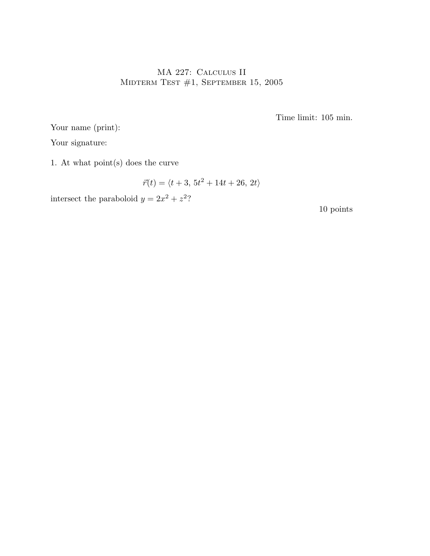## MA 227: Calculus II MIDTERM TEST  $#1$ , SEPTEMBER 15, 2005

Time limit: 105 min.

Your name (print):

Your signature:

1. At what point(s) does the curve

$$
\vec{r}(t) = \langle t+3, 5t^2 + 14t + 26, 2t \rangle
$$

intersect the paraboloid  $y = 2x^2 + z^2$ ?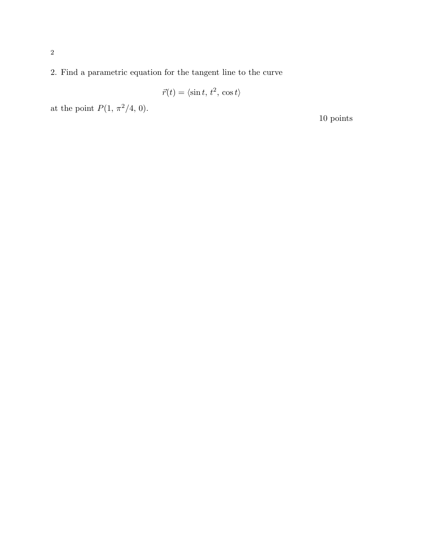2. Find a parametric equation for the tangent line to the curve

$$
\vec{r}(t) = \langle \sin t, t^2, \cos t \rangle
$$

at the point  $P(1, \pi^2/4, 0)$ .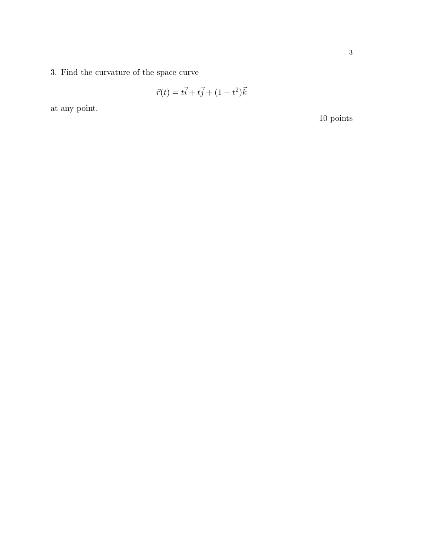3. Find the curvature of the space curve

$$
\vec{r}(t) = t\vec{i} + t\vec{j} + (1 + t^2)\vec{k}
$$

at any point.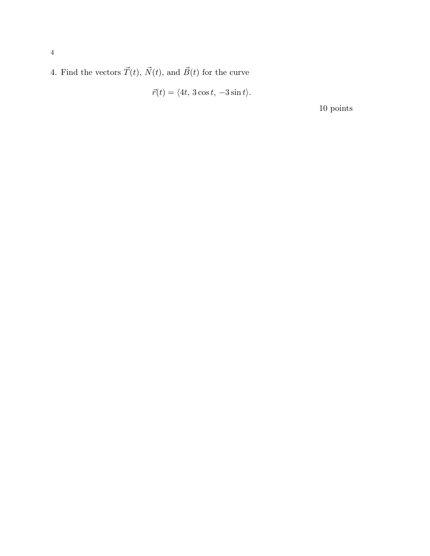4. Find the vectors  $\vec{T}(t),$   $\vec{N}(t),$  and  $\vec{B}(t)$  for the curve

$$
\vec{r}(t) = \langle 4t, 3\cos t, -3\sin t \rangle.
$$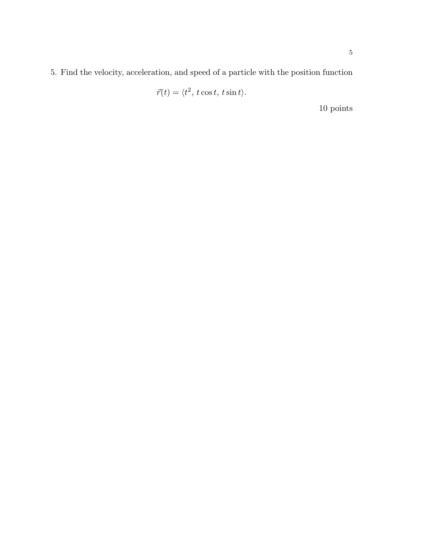5. Find the velocity, acceleration, and speed of a particle with the position function

$$
\vec{r}(t) = \langle t^2, t \cos t, t \sin t \rangle.
$$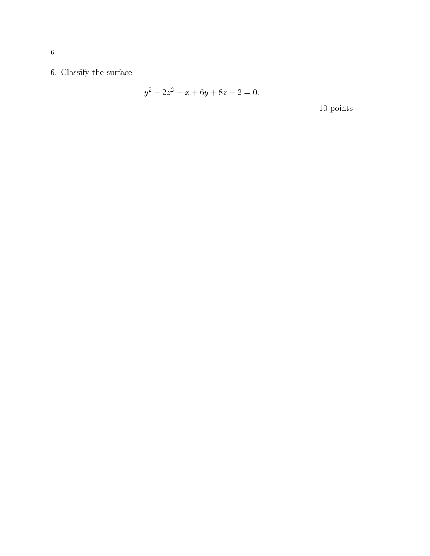6. Classify the surface

$$
y^2 - 2z^2 - x + 6y + 8z + 2 = 0.
$$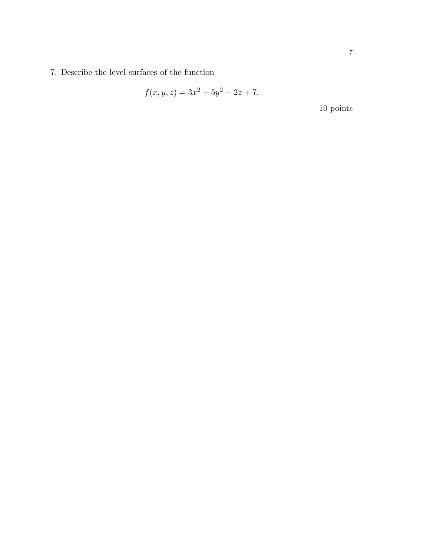7. Describe the level surfaces of the function

$$
f(x, y, z) = 3x^2 + 5y^2 - 2z + 7.
$$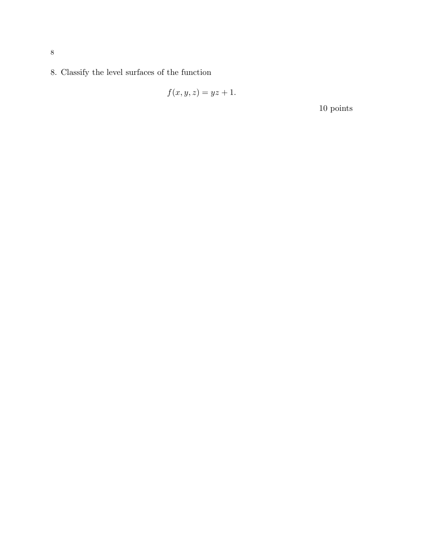8. Classify the level surfaces of the function

$$
f(x, y, z) = yz + 1.
$$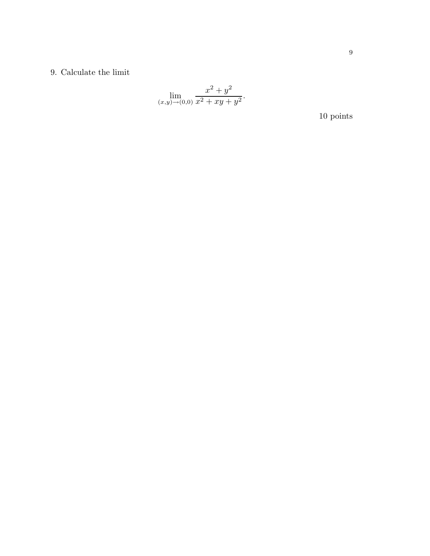## 9. Calculate the limit

$$
\lim_{(x,y)\to(0,0)}\frac{x^2+y^2}{x^2+xy+y^2}.
$$